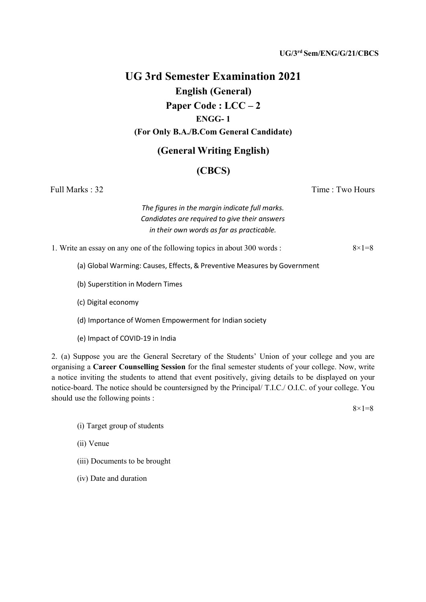### UG/3rd Sem/ENG/G/21/CBCS

# UG 3rd Semester Examination 2021 English (General) Paper Code : LCC – 2 ENGG- 1 (For Only B.A./B.Com General Candidate)

## (General Writing English)

## (CBCS)

Full Marks : 32 Time : Two Hours

The figures in the margin indicate full marks. Candidates are required to give their answers in their own words as far as practicable.

1. Write an essay on any one of the following topics in about 300 words :  $8 \times 1 = 8$ 

- (a) Global Warming: Causes, Effects, & Preventive Measures by Government
- (b) Superstition in Modern Times
- (c) Digital economy
- (d) Importance of Women Empowerment for Indian society
- (e) Impact of COVID-19 in India

2. (a) Suppose you are the General Secretary of the Students' Union of your college and you are organising a Career Counselling Session for the final semester students of your college. Now, write a notice inviting the students to attend that event positively, giving details to be displayed on your notice-board. The notice should be countersigned by the Principal/ T.I.C./ O.I.C. of your college. You should use the following points :

 $8 \times 1 = 8$ 

- (i) Target group of students
- (ii) Venue
- (iii) Documents to be brought
- (iv) Date and duration